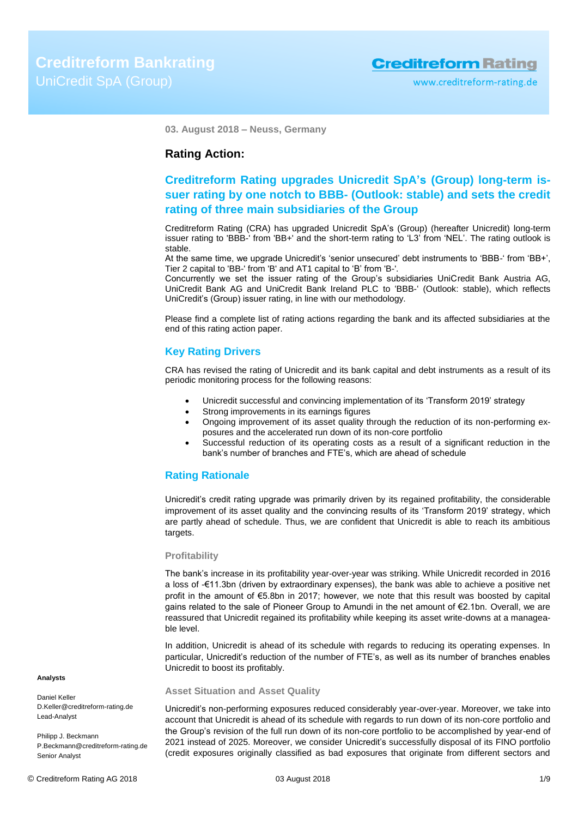**03. August 2018 – Neuss, Germany**

## **Rating Action:**

## **Creditreform Rating upgrades Unicredit SpA's (Group) long-term issuer rating by one notch to BBB- (Outlook: stable) and sets the credit rating of three main subsidiaries of the Group**

Creditreform Rating (CRA) has upgraded Unicredit SpA's (Group) (hereafter Unicredit) long-term issuer rating to 'BBB-' from 'BB+' and the short-term rating to 'L3' from 'NEL'. The rating outlook is stable.

At the same time, we upgrade Unicredit's 'senior unsecured' debt instruments to 'BBB-' from 'BB+', Tier 2 capital to 'BB-' from 'B' and AT1 capital to 'B' from 'B-'.

Concurrently we set the issuer rating of the Group's subsidiaries UniCredit Bank Austria AG, UniCredit Bank AG and UniCredit Bank Ireland PLC to 'BBB-' (Outlook: stable), which reflects UniCredit's (Group) issuer rating, in line with our methodology.

Please find a complete list of rating actions regarding the bank and its affected subsidiaries at the end of this rating action paper.

## **Key Rating Drivers**

CRA has revised the rating of Unicredit and its bank capital and debt instruments as a result of its periodic monitoring process for the following reasons:

- Unicredit successful and convincing implementation of its 'Transform 2019' strategy
- Strong improvements in its earnings figures
- Ongoing improvement of its asset quality through the reduction of its non-performing exposures and the accelerated run down of its non-core portfolio
- Successful reduction of its operating costs as a result of a significant reduction in the bank's number of branches and FTE's, which are ahead of schedule

## **Rating Rationale**

Unicredit's credit rating upgrade was primarily driven by its regained profitability, the considerable improvement of its asset quality and the convincing results of its 'Transform 2019' strategy, which are partly ahead of schedule. Thus, we are confident that Unicredit is able to reach its ambitious targets.

#### **Profitability**

The bank's increase in its profitability year-over-year was striking. While Unicredit recorded in 2016 a loss of -€11.3bn (driven by extraordinary expenses), the bank was able to achieve a positive net profit in the amount of €5.8bn in 2017; however, we note that this result was boosted by capital gains related to the sale of Pioneer Group to Amundi in the net amount of €2.1bn. Overall, we are reassured that Unicredit regained its profitability while keeping its asset write-downs at a manageable level.

In addition, Unicredit is ahead of its schedule with regards to reducing its operating expenses. In particular, Unicredit's reduction of the number of FTE's, as well as its number of branches enables Unicredit to boost its profitably.

#### **Asset Situation and Asset Quality**

Unicredit's non-performing exposures reduced considerably year-over-year. Moreover, we take into account that Unicredit is ahead of its schedule with regards to run down of its non-core portfolio and the Group's revision of the full run down of its non-core portfolio to be accomplished by year-end of 2021 instead of 2025. Moreover, we consider Unicredit's successfully disposal of its FINO portfolio (credit exposures originally classified as bad exposures that originate from different sectors and

## **Analysts**

Daniel Keller D.Keller@creditreform-rating.de Lead-Analyst

Philipp J. Beckmann P.Beckmann@creditreform-rating.de Senior Analyst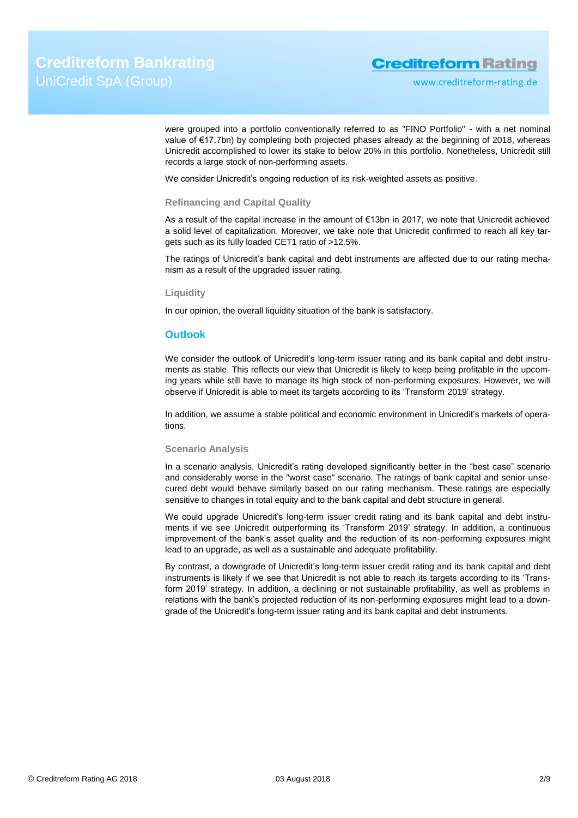were grouped into a portfolio conventionally referred to as "FINO Portfolio" - with a net nominal value of €17.7bn) by completing both projected phases already at the beginning of 2018, whereas Unicredit accomplished to lower its stake to below 20% in this portfolio. Nonetheless, Unicredit still records a large stock of non-performing assets.

We consider Unicredit's ongoing reduction of its risk-weighted assets as positive.

#### **Refinancing and Capital Quality**

As a result of the capital increase in the amount of €13bn in 2017, we note that Unicredit achieved a solid level of capitalization. Moreover, we take note that Unicredit confirmed to reach all key targets such as its fully loaded CET1 ratio of >12.5%.

The ratings of Unicredit's bank capital and debt instruments are affected due to our rating mechanism as a result of the upgraded issuer rating.

### **Liquidity**

In our opinion, the overall liquidity situation of the bank is satisfactory.

## **Outlook**

We consider the outlook of Unicredit's long-term issuer rating and its bank capital and debt instruments as stable. This reflects our view that Unicredit is likely to keep being profitable in the upcoming years while still have to manage its high stock of non-performing exposures. However, we will observe if Unicredit is able to meet its targets according to its 'Transform 2019' strategy.

In addition, we assume a stable political and economic environment in Unicredit's markets of operations.

#### **Scenario Analysis**

In a scenario analysis, Unicredit's rating developed significantly better in the "best case" scenario and considerably worse in the "worst case" scenario. The ratings of bank capital and senior unsecured debt would behave similarly based on our rating mechanism. These ratings are especially sensitive to changes in total equity and to the bank capital and debt structure in general.

We could upgrade Unicredit's long-term issuer credit rating and its bank capital and debt instruments if we see Unicredit outperforming its 'Transform 2019' strategy. In addition, a continuous improvement of the bank's asset quality and the reduction of its non-performing exposures might lead to an upgrade, as well as a sustainable and adequate profitability.

By contrast, a downgrade of Unicredit's long-term issuer credit rating and its bank capital and debt instruments is likely if we see that Unicredit is not able to reach its targets according to its 'Transform 2019' strategy. In addition, a declining or not sustainable profitability, as well as problems in relations with the bank's projected reduction of its non-performing exposures might lead to a downgrade of the Unicredit's long-term issuer rating and its bank capital and debt instruments.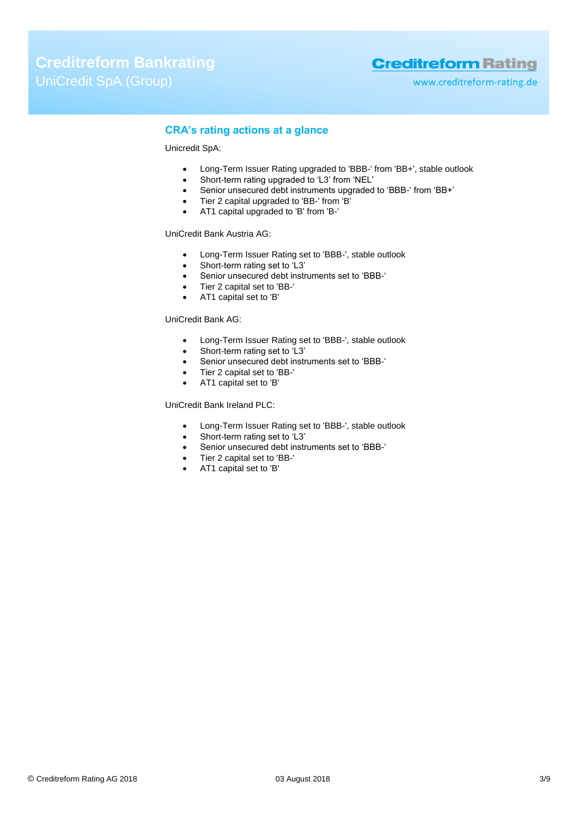www.creditreform-rating.de

## **CRA's rating actions at a glance**

## Unicredit SpA:

- Long-Term Issuer Rating upgraded to 'BBB-' from 'BB+', stable outlook
- Short-term rating upgraded to 'L3' from 'NEL'
- Senior unsecured debt instruments upgraded to 'BBB-' from 'BB+'
- Tier 2 capital upgraded to 'BB-' from 'B'
- AT1 capital upgraded to 'B' from 'B-'

#### UniCredit Bank Austria AG:

- Long-Term Issuer Rating set to 'BBB-', stable outlook
- Short-term rating set to 'L3'
- Senior unsecured debt instruments set to 'BBB-'
- Tier 2 capital set to 'BB-'
- AT1 capital set to 'B'

## UniCredit Bank AG:

- Long-Term Issuer Rating set to 'BBB-', stable outlook
- Short-term rating set to 'L3'
- Senior unsecured debt instruments set to 'BBB-'
- Tier 2 capital set to 'BB-'
- AT1 capital set to 'B'

### UniCredit Bank Ireland PLC:

- Long-Term Issuer Rating set to 'BBB-', stable outlook
- Short-term rating set to 'L3'
- Senior unsecured debt instruments set to 'BBB-'
- Tier 2 capital set to 'BB-'
- AT1 capital set to 'B'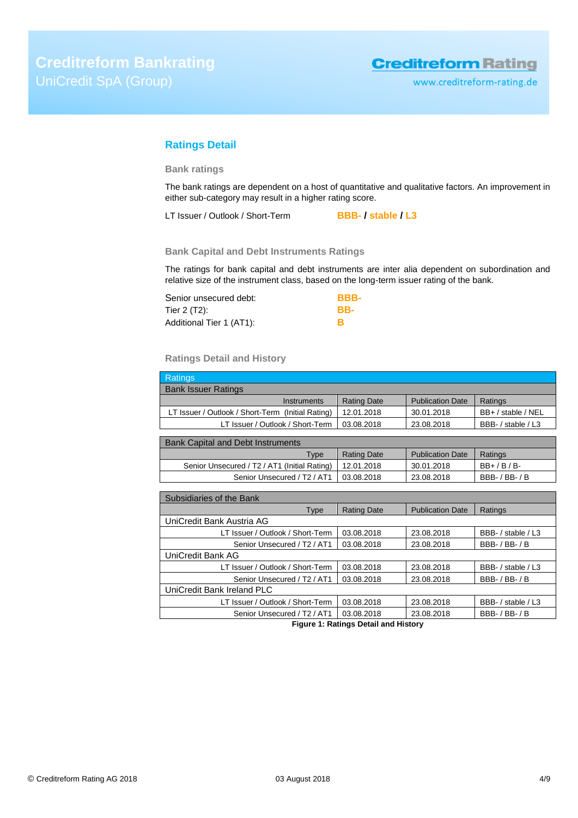## **Ratings Detail**

## **Bank ratings**

The bank ratings are dependent on a host of quantitative and qualitative factors. An improvement in either sub-category may result in a higher rating score.

LT Issuer / Outlook / Short-Term **BBB- / stable / L3**

## **Bank Capital and Debt Instruments Ratings**

The ratings for bank capital and debt instruments are inter alia dependent on subordination and relative size of the instrument class, based on the long-term issuer rating of the bank.

| Senior unsecured debt:   | BBB- |
|--------------------------|------|
| Tier 2 (T2):             | RR-  |
| Additional Tier 1 (AT1): |      |

## **Ratings Detail and History**

| Ratings                                           |                    |                         |                    |
|---------------------------------------------------|--------------------|-------------------------|--------------------|
| <b>Bank Issuer Ratings</b>                        |                    |                         |                    |
| Instruments                                       | <b>Rating Date</b> | <b>Publication Date</b> | Ratings            |
| LT Issuer / Outlook / Short-Term (Initial Rating) | 12.01.2018         | 30.01.2018              | BB+ / stable / NEL |
| LT Issuer / Outlook / Short-Term                  | 03.08.2018         | 23.08.2018              | BBB- / stable / L3 |
|                                                   |                    |                         |                    |
| <b>Bank Capital and Debt Instruments</b>          |                    |                         |                    |
| $T_{1,000}$                                       | Doting Dota        | <b>Dublication Data</b> | $Dofin \alpha$     |

| $T$ <sub>V</sub> pe                                       | <b>Rating Date</b> | <b>Publication Date</b> | Ratings        |
|-----------------------------------------------------------|--------------------|-------------------------|----------------|
| Senior Unsecured / T2 / AT1 (Initial Rating)   12.01.2018 |                    | 30.01.2018              | $BB+$ / B / B- |
| Senior Unsecured / T2 / AT1                               | 03.08.2018         | 23.08.2018              | BBB- / BB- / B |

| Subsidiaries of the Bank                            |                    |                         |                    |
|-----------------------------------------------------|--------------------|-------------------------|--------------------|
| Type                                                | <b>Rating Date</b> | <b>Publication Date</b> | Ratings            |
| UniCredit Bank Austria AG                           |                    |                         |                    |
| LT Issuer / Outlook / Short-Term                    | 03.08.2018         | 23.08.2018              | BBB- / stable / L3 |
| Senior Unsecured / T <sub>2</sub> / AT1             | 03.08.2018         | 23.08.2018              | $BBB- / BB- / B$   |
| UniCredit Bank AG                                   |                    |                         |                    |
| LT Issuer / Outlook / Short-Term                    | 03.08.2018         | 23.08.2018              | BBB- / stable / L3 |
| Senior Unsecured / T <sub>2</sub> / AT <sub>1</sub> | 03.08.2018         | 23.08.2018              | $BBB- / BB- / B$   |
| UniCredit Bank Ireland PLC                          |                    |                         |                    |
| LT Issuer / Outlook / Short-Term                    | 03.08.2018         | 23.08.2018              | BBB- / stable / L3 |
| Senior Unsecured / T <sub>2</sub> / AT1             | 03.08.2018         | 23.08.2018              | $BBB- / BB- / B$   |

**Figure 1: Ratings Detail and History**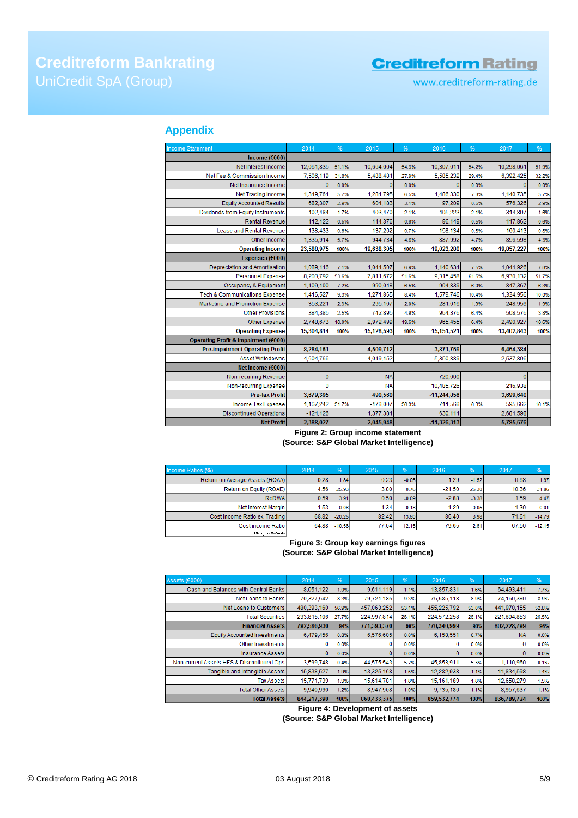www.creditreform-rating.de

## **Appendix**

| <b>Income Statement</b>                  | 2014           | %     | 2015       | %        | 2016          | %       | 2017           | %     |
|------------------------------------------|----------------|-------|------------|----------|---------------|---------|----------------|-------|
| Income ( $€000$ )                        |                |       |            |          |               |         |                |       |
| Net Interest Income                      | 12,061,835     | 51.1% | 10,664,004 | 54.3%    | 10,307,011    | 54.2%   | 10,298,061     | 51.9% |
| Net Fee & Commission Income              | 7,506,119      | 31.8% | 5,488,481  | 27.9%    | 5,585,232     | 29.4%   | 6,392,425      | 32.2% |
| Net Insurance Income                     | $\theta$       | 0.0%  | $\Omega$   | 0.0%     | $\Omega$      | 0.0%    | $\Omega$       | 0.0%  |
| <b>Net Trading Income</b>                | 1,349,761      | 5.7%  | 1,281,795  | 6.5%     | 1,486,330     | 7.8%    | 1,140,735      | 5.7%  |
| <b>Equity Accounted Results</b>          | 682,307        | 2.9%  | 604,183    | 3.1%     | 97,209        | 0.5%    | 576,326        | 2.9%  |
| Dividends from Equity Instruments        | 402,484        | 1.7%  | 403,470    | 2.1%     | 405,223       | 2.1%    | 314,807        | 1.6%  |
| <b>Rental Revenue</b>                    | 112,122        | 0.5%  | 114,376    | 0.6%     | 96,149        | 0.5%    | 117,862        | 0.6%  |
| Lease and Rental Revenue                 | 138,433        | 0.6%  | 137,262    | 0.7%     | 158,134       | 0.8%    | 160,413        | 0.8%  |
| Other Income                             | 1,335,914      | 5.7%  | 944,734    | 4.8%     | 887,992       | 4.7%    | 856,598        | 4.3%  |
| <b>Operating Income</b>                  | 23,588,975     | 100%  | 19,638,305 | 100%     | 19,023,280    | 100%    | 19,857,227     | 100%  |
| Expenses (€000)                          |                |       |            |          |               |         |                |       |
| Depreciation and Amortisation            | 1,089,116      | 7.1%  | 1,044,507  | 6.9%     | 1,140,631     | 7.5%    | 1,041,926      | 7.8%  |
| <b>Personnel Expense</b>                 | 8,203,792      | 53.6% | 7,811,672  | 51.6%    | 9,315,458     | 61.5%   | 6,930,132      | 51.7% |
| Occupancy & Equipment                    | 1,109,100      | 7.2%  | 990,048    | 6.5%     | 904,839       | 6.0%    | 847,367        | 6.3%  |
| <b>Tech &amp; Communications Expense</b> | 1,416,527      | 9.3%  | 1,271,865  | 8.4%     | 1,579,746     | 10.4%   | 1.334.956      | 10.0% |
| Marketing and Promotion Expense          | 353,221        | 2.3%  | 295,107    | 2.0%     | 281,016       | 1.9%    | 248,959        | 1.9%  |
| <b>Other Provisions</b>                  | 384,385        | 2.5%  | 742,895    | 4.9%     | 964,376       | 6.4%    | 508,576        | 3.8%  |
| <b>Other Expense</b>                     | 2,748,673      | 18.0% | 2,972,499  | 19.6%    | 965,455       | 6.4%    | 2,490,927      | 18.6% |
| <b>Operating Expense</b>                 | 15,304,814     | 100%  | 15,128,593 | 100%     | 15,151,521    | 100%    | 13,402,843     | 100%  |
| Operating Profit & Impairment (€000)     |                |       |            |          |               |         |                |       |
| <b>Pre-impairment Operating Profit</b>   | 8,284,161      |       | 4,509,712  |          | 3,871,759     |         | 6,454,384      |       |
| Asset Writedowns                         | 4,604.766      |       | 4,019,152  |          | 5,350,889     |         | 2,537,806      |       |
| Net Income (€000)                        |                |       |            |          |               |         |                |       |
| Non-recurring Revenue                    | $\overline{0}$ |       | <b>NA</b>  |          | 720,000       |         | $\overline{0}$ |       |
| Non-recurring Expense                    | O              |       | <b>NA</b>  |          | 10,485.726    |         | 216,938        |       |
| <b>Pre-tax Profit</b>                    | 3,679,395      |       | 490,560    |          | $-11,244,856$ |         | 3,699,640      |       |
| Income Tax Expense                       | 1,167,242      | 31.7% | $-178,007$ | $-36.3%$ | 711,568       | $-6.3%$ | 595,662        | 16.1% |
| <b>Discontinued Operations</b>           | $-124, 126$    |       | 1,377,381  |          | 630,111       |         | 2,681,598      |       |
| <b>Net Profit</b>                        | 2,388,027      |       | 2,045,948  |          | $-11,326,313$ |         | 5,785,576      |       |

## **Figure 2: Group income statement (Source: S&P Global Market Intelligence)**

| Income Ratios (%)               | 2014  | %        | 2015  | %       | 2016     | $\frac{96}{6}$ | 2017  | %        |
|---------------------------------|-------|----------|-------|---------|----------|----------------|-------|----------|
| Return on Average Assets (ROAA) | 0.28  | 1.84     | 0.23  | $-0.05$ | $-1.29$  | $-1.52$        | 0.68  | 1.97     |
| Return on Equity (ROAE)         | 4.56  | 25.93    | 3.80  | $-0.76$ | $-21.50$ | $-25.30$       | 10.36 | 31.86    |
| RoRWA                           | 0.59  | 3.91     | 0.50  | $-0.09$ | $-2.88$  | $-3.38$        | 1.591 | 4.47     |
| Net Interest Margin             | 1.53  | 0.06     | 1.34  | $-0.18$ | 1.29     | $-0.05$        | 1.30  | 0.01     |
| Cost income Ratio ex. Trading   | 68.82 | $-20.25$ | 82.42 | 13.60   | 86.40    | 3.98           | 71.61 | $-14.79$ |
| Cost income Ratio               | 64.88 | $-10.58$ | 77.04 | 12.15   | 79.65    | 2.61           | 67.50 | $-12.15$ |
| Change in X-Points              |       |          |       |         |          |                |       |          |

#### **Figure 3: Group key earnings figures (Source: S&P Global Market Intelligence)**

| Assets (€000)                             | 2014        | %     | 2015        | %     | 2016        | %     | 2017        | %     |
|-------------------------------------------|-------------|-------|-------------|-------|-------------|-------|-------------|-------|
| Cash and Balances with Central Banks      | 8,051,122   | 1.0%  | 9,611,119   | 1.1%  | 13,857,831  | 1.6%  | 64,493,411  | 7.7%  |
| Net Loans to Banks                        | 70,327,542  | 8.3%  | 79,721,185  | 9.3%  | 76,685,118  | 8.9%  | 74,160,380  | 8.9%  |
| Net Loans to Customers                    | 480,393,160 | 56.9% | 457,063,252 | 53.1% | 455,225,792 | 53.0% | 441,970,155 | 52.8% |
| <b>Total Securities</b>                   | 233,815,106 | 27.7% | 224,997,814 | 26.1% | 224,572,258 | 26.1% | 221,604,853 | 26.5% |
| <b>Financial Assets</b>                   | 792,586,930 | 94%   | 771,393,370 | 90%   | 770,340,999 | 90%   | 802,228,799 | 96%   |
| Equity Accounted Investments              | 6.479.456   | 0.8%  | 6,576,605   | 0.8%  | 6,158,551   | 0.7%  | <b>NA</b>   | 0.0%  |
| Other Investments                         |             | 0.0%  |             | 0.0%  |             | 0.0%  |             | 0.0%  |
| Insurance Assets                          |             | 0.0%  |             | 0.0%  |             | 0.0%  | 0           | 0.0%  |
| Non-current Assets HFS & Discontinued Ops | 3,599,748   | 0.4%  | 44,575,543  | 5.2%  | 45,853,911  | 5.3%  | 1,110,960   | 0.1%  |
| Tangible and Intangible Assets            | 15,838,527  | 1.9%  | 13,325,168  | 1.5%  | 12.282.938  | 1.4%  | 11,834,598  | 1.4%  |
| <b>Tax Assets</b>                         | 15,771,739  | 1.9%  | 15,614.781  | 1.8%  | 15,161,189  | 1.8%  | 12,658,279  | 1.5%  |
| <b>Total Other Assets</b>                 | 9.940.990   | 1.2%  | 8.947.908   | 1.0%  | 9.735.186   | 1.1%  | 8,957,637   | 1.1%  |
| <b>Total Assets</b>                       | 844,217,390 | 100%  | 860,433,375 | 100%  | 859,532,774 | 100%  | 836,789,724 | 100%  |

**Figure 4: Development of assets**

**(Source: S&P Global Market Intelligence)**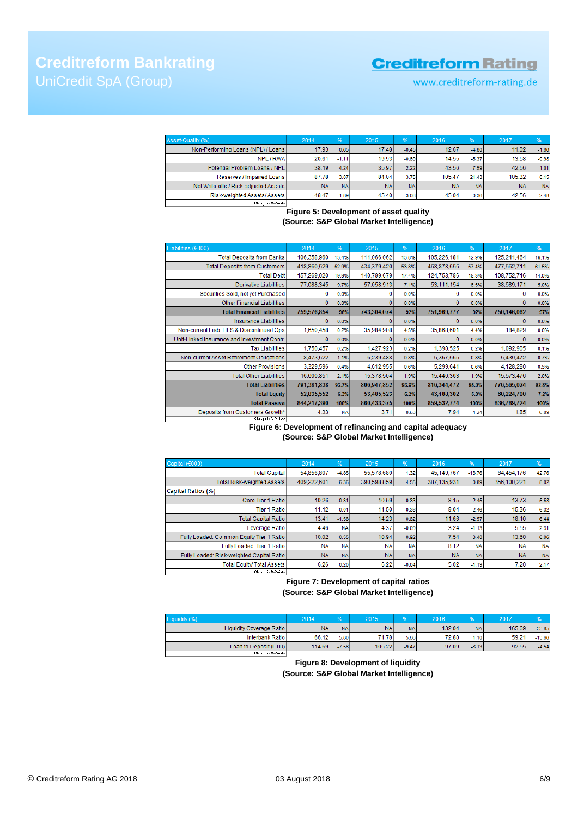www.creditreform-rating.de

| Asset-Quality (%)                     | 2014      | %         | 2015      | %         | 2016      | 96'       | 2017      | %         |
|---------------------------------------|-----------|-----------|-----------|-----------|-----------|-----------|-----------|-----------|
| Non-Performing Loans (NPL) / Loans    | 17.93     | 0.65      | 17.48     | $-0.45$   | 12.67     | $-4.80$   | 11.02     | $-1.66$   |
| NPL / RWA                             | 20.61     | $-1.11$   | 19.93     | $-0.69$   | 14.55     | $-5.37$   | 13.58     | $-0.98$   |
| Potential Problem Loans / NPL         | 38.19     | 4.24      | 35.97     | $-2.22$   | 43.56     | 7.59      | 42.56     | $-1.01$   |
| Reserves / Impaired Loans             | 87.78     | 3.07      | 84.04     | $-3.75$   | 105.47    | 21.43     | 105.32    | $-0.15$   |
| Net Write-offs / Risk-adjusted Assets | <b>NA</b> | <b>NA</b> | <b>NA</b> | <b>NA</b> | <b>NA</b> | <b>NA</b> | <b>NA</b> | <b>NA</b> |
| Risk-weighted Assets/ Assets          | 48.47     | 1.89      | 45.40     | $-3.08$   | 45.04     | $-0.36$   | 42.56     | $-2.48$   |
| Change in 2-Points                    |           |           |           |           |           |           |           |           |

## **Figure 5: Development of asset quality (Source: S&P Global Market Intelligence)**

| Liabilities (€000)                          | 2014        | %         | 2015        | %       | 2016        | %     | 2017        | %       |
|---------------------------------------------|-------------|-----------|-------------|---------|-------------|-------|-------------|---------|
| <b>Total Deposits from Banks</b>            | 106,358,960 | 13.4%     | 111,066,062 | 13.8%   | 105,226,181 | 12.9% | 125,241,464 | 16.1%   |
| <b>Total Deposits from Customers</b>        | 418,860,529 | 52.9%     | 434,379,420 | 53.8%   | 468,878,656 | 57.4% | 477,562,711 | 61.5%   |
| <b>Total Debt</b>                           | 157,269,020 | 19.9%     | 140,799,679 | 17.4%   | 124,753,786 | 15.3% | 108,752,716 | 14.0%   |
| Derivative Liabilities                      | 77,088,345  | 9.7%      | 57,058,913  | 7.1%    | 53,111,154  | 6.5%  | 38,589,171  | 5.0%    |
| Securities Sold, not yet Purchased          | 0           | 0.0%      |             | 0.0%    | o           | 0.0%  | o           | 0.0%    |
| Other Financial Liabilities                 | 0           | 0.0%      |             | 0.0%    | o           | 0.0%  | Ð           | 0.0%    |
| <b>Total Financial Liabilities</b>          | 759,576,854 | 96%       | 743,304,074 | 92%     | 751,969,777 | 92%   | 750,146,062 | 97%     |
| <b>Insurance Liabilities</b>                |             | 0.0%      |             | 0.0%    |             | 0.0%  | Ð           | 0.0%    |
| Non-current Liab. HFS & Discontinued Ops    | 1,650,458   | 0.2%      | 35,984,908  | 4.5%    | 35,868,601  | 4.4%  | 184,829     | 0.0%    |
| Unit-Linked Insurance and Investment Contr. | л           | 0.0%      | o           | 0.0%    | n           | 0.0%  | $\Omega$    | 0.0%    |
| <b>Tax Liabilities</b>                      | 1,750,457   | 0.2%      | 1,427,923   | 0.2%    | 1,398,525   | 0.2%  | 1,092,905   | 0.1%    |
| Non-current Asset Retirement Obligations    | 8,473,622   | 1.1%      | 6,239,488   | 0.8%    | 6,367,565   | 0.8%  | 5.439.472   | 0.7%    |
| <b>Other Provisions</b>                     | 3,329,596   | 0.4%      | 4,612,955   | 0.6%    | 5,299,641   | 0.6%  | 4,128,280   | 0.5%    |
| <b>Total Other Liabilities</b>              | 16,600,851  | 2.1%      | 15,378,504  | 1.9%    | 15,440,363  | 1.9%  | 15,573,476  | 2.0%    |
| <b>Total Liabilities</b>                    | 791,381,838 | 93.7%     | 806,947,852 | 93.8%   | 816,344,472 | 95.0% | 776,565,024 | 92.8%   |
| <b>Total Equity</b>                         | 52,835,552  | 6.3%      | 53,485,523  | 6.2%    | 43,188,302  | 5.0%  | 60,224,700  | 7.2%    |
| <b>Total Passival</b>                       | 844,217,390 | 100%      | 860,433,375 | 100%    | 859,532,774 | 100%  | 836,789,724 | 100%    |
| Deposits from Customers Growth*             | 4.33        | <b>NA</b> | 3.71        | $-0.63$ | 7.94        | 4.24  | 1.85        | $-6.09$ |
| Change in %-Points                          |             |           |             |         |             |       |             |         |

### **Figure 6: Development of refinancing and capital adequacy (Source: S&P Global Market Intelligence)**

| Capital (€000)                            | 2014        | %         | 2015        | %          | 2016        | %         | 2017        | %         |
|-------------------------------------------|-------------|-----------|-------------|------------|-------------|-----------|-------------|-----------|
| <b>Total Capital</b>                      | 54.856.807  | $-4.85$   | 55.578.680  | 1.32       | 45.149.767  | $-18.76$  | 64,454,176  | 42.76     |
| <b>Total Risk-weighted Assets</b>         | 409,222,601 | 6.36      | 390.598.859 | $-4.55$    | 387,135,931 | $-0.89$   | 356.100.221 | $-8.02$   |
| Capital Ratios (%)                        |             |           |             |            |             |           |             |           |
| Core Tier 1 Ratio                         | 10.26       | $-0.31$   | 10.59       | 0.33       | 8.15        | $-2.45$   | 13.73       | 5.58      |
| <b>Tier 1 Ratio</b>                       | 11.12       | 0.01      | 11.50       | 0.38       | 9.04        | $-2.46$   | 15.36       | 6.32      |
| <b>Total Capital Ratio</b>                | 13.41       | $-1.58$   | 14.23       | 0.82       | 11.66       | $-2.57$   | 18.10       | 6.44      |
| Leverage Ratio                            | 4.46        | <b>NA</b> | 4.37        | $-0.09$    | 3.24        | $-1.13$   | 5.55        | 2.31      |
| Fully Loaded: Common Equity Tier 1 Ratio  | 10.02       | $-0.55$   | 10.94       | 0.92       | 7.54        | $-3.40$   | 13.60       | 6.06      |
| Fully Loaded: Tier 1 Ratio                | <b>NA</b>   | <b>NA</b> | <b>NA</b>   | <b>NA</b>  | 8.12        | <b>NA</b> | <b>NA</b>   | <b>NA</b> |
| Fully Loaded: Risk-weighted Capital Ratio | <b>NAI</b>  | <b>NA</b> | <b>NA</b>   | <b>NAI</b> | <b>NA</b>   | <b>NA</b> | <b>NA</b>   | <b>NA</b> |
| <b>Total Equity/ Total Assets</b>         | 6.26        | 0.20      | 6.22        | $-0.04$    | 5.02        | $-1.19$   | 7.20        | 2.17      |
| Change in %-Points                        |             |           |             |            |             |           |             |           |

**Figure 7: Development of capital ratios (Source: S&P Global Market Intelligence)**

| Liquidity (%)            | 2014      | юŻ        | 2015      | 70        | 2016   |           | 2017   |          |
|--------------------------|-----------|-----------|-----------|-----------|--------|-----------|--------|----------|
| Liquidity Coverage Ratio | <b>NA</b> | <b>NA</b> | <b>NA</b> | <b>NA</b> | 132.04 | <b>NA</b> | 165.69 | 33.65    |
| Interbank Ratio          | 66.12     | 5.80      | 71.78     | 5.66      | 72.88  | (.10)     | 59.21  | $-13.66$ |
| Loan to Deposit (LTD)    | 114.69    | $-7.56$   | 105.22    | $-9.47$   | 97.09  | $-8.13$   | 92.55  | $-4.54$  |
| Change in McDaireal      |           |           |           |           |        |           |        |          |

**Figure 8: Development of liquidity (Source: S&P Global Market Intelligence)**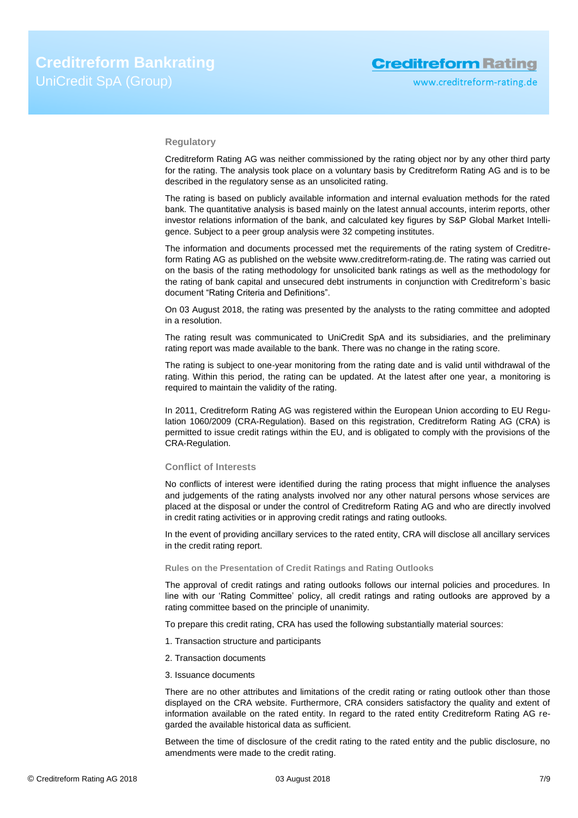#### **Regulatory**

Creditreform Rating AG was neither commissioned by the rating object nor by any other third party for the rating. The analysis took place on a voluntary basis by Creditreform Rating AG and is to be described in the regulatory sense as an unsolicited rating.

The rating is based on publicly available information and internal evaluation methods for the rated bank. The quantitative analysis is based mainly on the latest annual accounts, interim reports, other investor relations information of the bank, and calculated key figures by S&P Global Market Intelligence. Subject to a peer group analysis were 32 competing institutes.

The information and documents processed met the requirements of the rating system of Creditreform Rating AG as published on the website www.creditreform-rating.de. The rating was carried out on the basis of the rating methodology for unsolicited bank ratings as well as the methodology for the rating of bank capital and unsecured debt instruments in conjunction with Creditreform`s basic document "Rating Criteria and Definitions".

On 03 August 2018, the rating was presented by the analysts to the rating committee and adopted in a resolution.

The rating result was communicated to UniCredit SpA and its subsidiaries, and the preliminary rating report was made available to the bank. There was no change in the rating score.

The rating is subject to one-year monitoring from the rating date and is valid until withdrawal of the rating. Within this period, the rating can be updated. At the latest after one year, a monitoring is required to maintain the validity of the rating.

In 2011, Creditreform Rating AG was registered within the European Union according to EU Regulation 1060/2009 (CRA-Regulation). Based on this registration, Creditreform Rating AG (CRA) is permitted to issue credit ratings within the EU, and is obligated to comply with the provisions of the CRA-Regulation.

## **Conflict of Interests**

No conflicts of interest were identified during the rating process that might influence the analyses and judgements of the rating analysts involved nor any other natural persons whose services are placed at the disposal or under the control of Creditreform Rating AG and who are directly involved in credit rating activities or in approving credit ratings and rating outlooks.

In the event of providing ancillary services to the rated entity, CRA will disclose all ancillary services in the credit rating report.

#### **Rules on the Presentation of Credit Ratings and Rating Outlooks**

The approval of credit ratings and rating outlooks follows our internal policies and procedures. In line with our 'Rating Committee' policy, all credit ratings and rating outlooks are approved by a rating committee based on the principle of unanimity.

To prepare this credit rating, CRA has used the following substantially material sources:

- 1. Transaction structure and participants
- 2. Transaction documents
- 3. Issuance documents

There are no other attributes and limitations of the credit rating or rating outlook other than those displayed on the CRA website. Furthermore, CRA considers satisfactory the quality and extent of information available on the rated entity. In regard to the rated entity Creditreform Rating AG regarded the available historical data as sufficient.

Between the time of disclosure of the credit rating to the rated entity and the public disclosure, no amendments were made to the credit rating.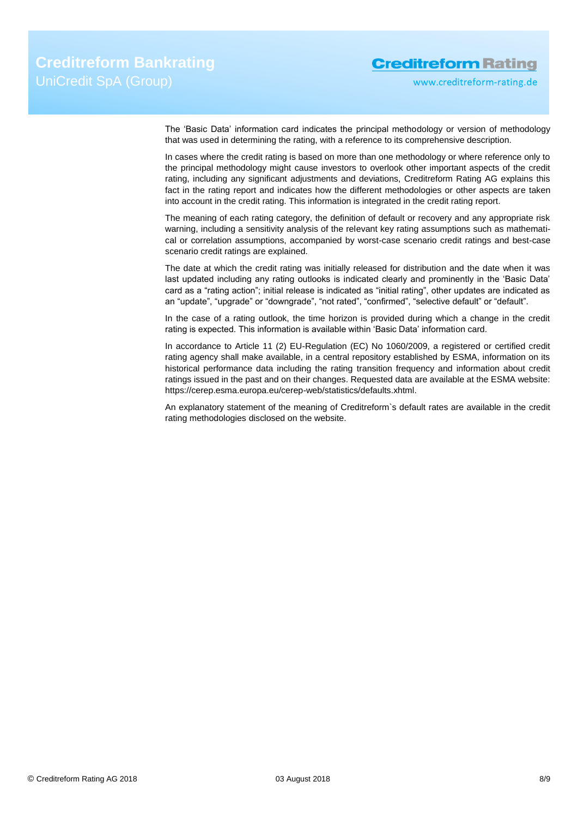www.creditreform-rating.de

The 'Basic Data' information card indicates the principal methodology or version of methodology that was used in determining the rating, with a reference to its comprehensive description.

In cases where the credit rating is based on more than one methodology or where reference only to the principal methodology might cause investors to overlook other important aspects of the credit rating, including any significant adjustments and deviations, Creditreform Rating AG explains this fact in the rating report and indicates how the different methodologies or other aspects are taken into account in the credit rating. This information is integrated in the credit rating report.

The meaning of each rating category, the definition of default or recovery and any appropriate risk warning, including a sensitivity analysis of the relevant key rating assumptions such as mathematical or correlation assumptions, accompanied by worst-case scenario credit ratings and best-case scenario credit ratings are explained.

The date at which the credit rating was initially released for distribution and the date when it was last updated including any rating outlooks is indicated clearly and prominently in the 'Basic Data' card as a "rating action"; initial release is indicated as "initial rating", other updates are indicated as an "update", "upgrade" or "downgrade", "not rated", "confirmed", "selective default" or "default".

In the case of a rating outlook, the time horizon is provided during which a change in the credit rating is expected. This information is available within 'Basic Data' information card.

In accordance to Article 11 (2) EU-Regulation (EC) No 1060/2009, a registered or certified credit rating agency shall make available, in a central repository established by ESMA, information on its historical performance data including the rating transition frequency and information about credit ratings issued in the past and on their changes. Requested data are available at the ESMA website: https://cerep.esma.europa.eu/cerep-web/statistics/defaults.xhtml.

An explanatory statement of the meaning of Creditreform`s default rates are available in the credit rating methodologies disclosed on the website.